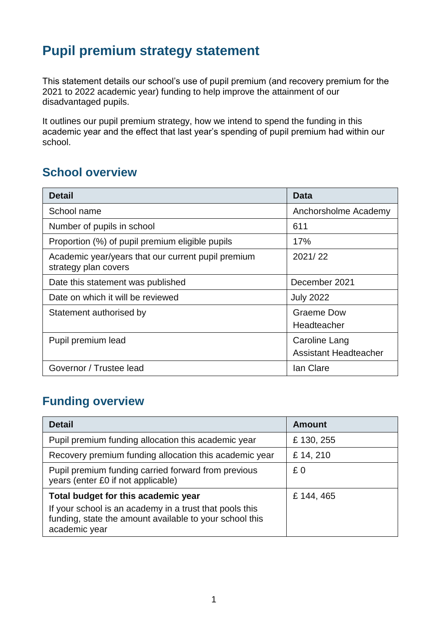## **Pupil premium strategy statement**

This statement details our school's use of pupil premium (and recovery premium for the 2021 to 2022 academic year) funding to help improve the attainment of our disadvantaged pupils.

It outlines our pupil premium strategy, how we intend to spend the funding in this academic year and the effect that last year's spending of pupil premium had within our school.

#### **School overview**

| <b>Detail</b>                                                              | <b>Data</b>                                   |
|----------------------------------------------------------------------------|-----------------------------------------------|
| School name                                                                | Anchorsholme Academy                          |
| Number of pupils in school                                                 | 611                                           |
| Proportion (%) of pupil premium eligible pupils                            | 17%                                           |
| Academic year/years that our current pupil premium<br>strategy plan covers | 2021/22                                       |
| Date this statement was published                                          | December 2021                                 |
| Date on which it will be reviewed                                          | <b>July 2022</b>                              |
| Statement authorised by                                                    | Graeme Dow<br>Headteacher                     |
| Pupil premium lead                                                         | Caroline Lang<br><b>Assistant Headteacher</b> |
| Governor / Trustee lead                                                    | lan Clare                                     |

#### **Funding overview**

| <b>Detail</b>                                                                                                                                                              | <b>Amount</b> |
|----------------------------------------------------------------------------------------------------------------------------------------------------------------------------|---------------|
| Pupil premium funding allocation this academic year                                                                                                                        | £130, 255     |
| Recovery premium funding allocation this academic year                                                                                                                     | £ 14, 210     |
| Pupil premium funding carried forward from previous<br>years (enter £0 if not applicable)                                                                                  | £0            |
| Total budget for this academic year<br>If your school is an academy in a trust that pools this<br>funding, state the amount available to your school this<br>academic year | £ 144, 465    |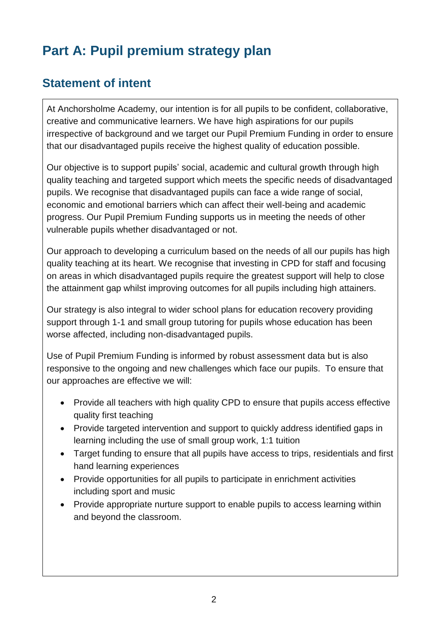# **Part A: Pupil premium strategy plan**

## **Statement of intent**

At Anchorsholme Academy, our intention is for all pupils to be confident, collaborative, creative and communicative learners. We have high aspirations for our pupils irrespective of background and we target our Pupil Premium Funding in order to ensure that our disadvantaged pupils receive the highest quality of education possible.

Our objective is to support pupils' social, academic and cultural growth through high quality teaching and targeted support which meets the specific needs of disadvantaged pupils. We recognise that disadvantaged pupils can face a wide range of social, economic and emotional barriers which can affect their well-being and academic progress. Our Pupil Premium Funding supports us in meeting the needs of other vulnerable pupils whether disadvantaged or not.

Our approach to developing a curriculum based on the needs of all our pupils has high quality teaching at its heart. We recognise that investing in CPD for staff and focusing on areas in which disadvantaged pupils require the greatest support will help to close the attainment gap whilst improving outcomes for all pupils including high attainers.

Our strategy is also integral to wider school plans for education recovery providing support through 1-1 and small group tutoring for pupils whose education has been worse affected, including non-disadvantaged pupils.

Use of Pupil Premium Funding is informed by robust assessment data but is also responsive to the ongoing and new challenges which face our pupils. To ensure that our approaches are effective we will:

- Provide all teachers with high quality CPD to ensure that pupils access effective quality first teaching
- Provide targeted intervention and support to quickly address identified gaps in learning including the use of small group work, 1:1 tuition
- Target funding to ensure that all pupils have access to trips, residentials and first hand learning experiences
- Provide opportunities for all pupils to participate in enrichment activities including sport and music
- Provide appropriate nurture support to enable pupils to access learning within and beyond the classroom.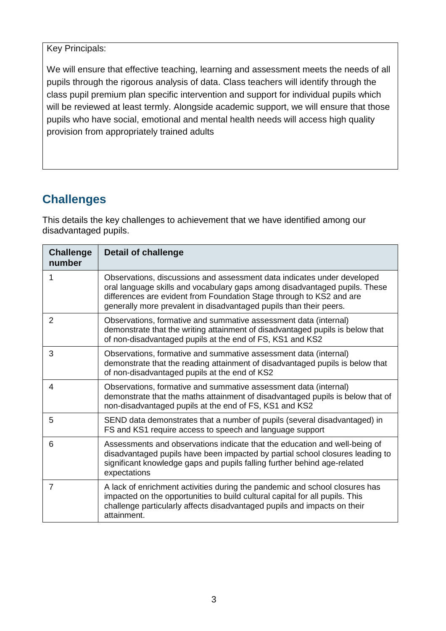Key Principals:

We will ensure that effective teaching, learning and assessment meets the needs of all pupils through the rigorous analysis of data. Class teachers will identify through the class pupil premium plan specific intervention and support for individual pupils which will be reviewed at least termly. Alongside academic support, we will ensure that those pupils who have social, emotional and mental health needs will access high quality provision from appropriately trained adults

## **Challenges**

This details the key challenges to achievement that we have identified among our disadvantaged pupils.

| <b>Challenge</b><br>number | <b>Detail of challenge</b>                                                                                                                                                                                                                                                                          |
|----------------------------|-----------------------------------------------------------------------------------------------------------------------------------------------------------------------------------------------------------------------------------------------------------------------------------------------------|
| 1                          | Observations, discussions and assessment data indicates under developed<br>oral language skills and vocabulary gaps among disadvantaged pupils. These<br>differences are evident from Foundation Stage through to KS2 and are<br>generally more prevalent in disadvantaged pupils than their peers. |
| $\overline{2}$             | Observations, formative and summative assessment data (internal)<br>demonstrate that the writing attainment of disadvantaged pupils is below that<br>of non-disadvantaged pupils at the end of FS, KS1 and KS2                                                                                      |
| 3                          | Observations, formative and summative assessment data (internal)<br>demonstrate that the reading attainment of disadvantaged pupils is below that<br>of non-disadvantaged pupils at the end of KS2                                                                                                  |
| 4                          | Observations, formative and summative assessment data (internal)<br>demonstrate that the maths attainment of disadvantaged pupils is below that of<br>non-disadvantaged pupils at the end of FS, KS1 and KS2                                                                                        |
| 5                          | SEND data demonstrates that a number of pupils (several disadvantaged) in<br>FS and KS1 require access to speech and language support                                                                                                                                                               |
| 6                          | Assessments and observations indicate that the education and well-being of<br>disadvantaged pupils have been impacted by partial school closures leading to<br>significant knowledge gaps and pupils falling further behind age-related<br>expectations                                             |
| $\overline{7}$             | A lack of enrichment activities during the pandemic and school closures has<br>impacted on the opportunities to build cultural capital for all pupils. This<br>challenge particularly affects disadvantaged pupils and impacts on their<br>attainment.                                              |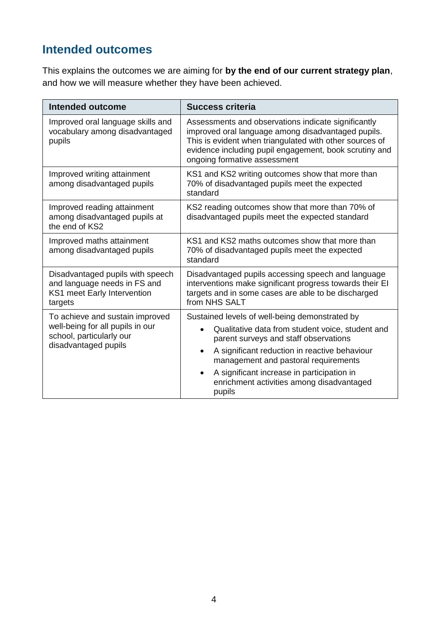## **Intended outcomes**

This explains the outcomes we are aiming for **by the end of our current strategy plan**, and how we will measure whether they have been achieved.

| <b>Intended outcome</b>                                                                                    | <b>Success criteria</b>                                                                                                                                                                                                                                        |  |  |  |
|------------------------------------------------------------------------------------------------------------|----------------------------------------------------------------------------------------------------------------------------------------------------------------------------------------------------------------------------------------------------------------|--|--|--|
| Improved oral language skills and<br>vocabulary among disadvantaged<br>pupils                              | Assessments and observations indicate significantly<br>improved oral language among disadvantaged pupils.<br>This is evident when triangulated with other sources of<br>evidence including pupil engagement, book scrutiny and<br>ongoing formative assessment |  |  |  |
| Improved writing attainment<br>among disadvantaged pupils                                                  | KS1 and KS2 writing outcomes show that more than<br>70% of disadvantaged pupils meet the expected<br>standard                                                                                                                                                  |  |  |  |
| Improved reading attainment<br>among disadvantaged pupils at<br>the end of KS2                             | KS2 reading outcomes show that more than 70% of<br>disadvantaged pupils meet the expected standard                                                                                                                                                             |  |  |  |
| Improved maths attainment<br>among disadvantaged pupils                                                    | KS1 and KS2 maths outcomes show that more than<br>70% of disadvantaged pupils meet the expected<br>standard                                                                                                                                                    |  |  |  |
| Disadvantaged pupils with speech<br>and language needs in FS and<br>KS1 meet Early Intervention<br>targets | Disadvantaged pupils accessing speech and language<br>interventions make significant progress towards their EI<br>targets and in some cases are able to be discharged<br>from NHS SALT                                                                         |  |  |  |
| To achieve and sustain improved                                                                            | Sustained levels of well-being demonstrated by                                                                                                                                                                                                                 |  |  |  |
| well-being for all pupils in our<br>school, particularly our                                               | Qualitative data from student voice, student and<br>$\bullet$<br>parent surveys and staff observations                                                                                                                                                         |  |  |  |
| disadvantaged pupils                                                                                       | A significant reduction in reactive behaviour<br>$\bullet$<br>management and pastoral requirements                                                                                                                                                             |  |  |  |
|                                                                                                            | A significant increase in participation in<br>$\bullet$<br>enrichment activities among disadvantaged<br>pupils                                                                                                                                                 |  |  |  |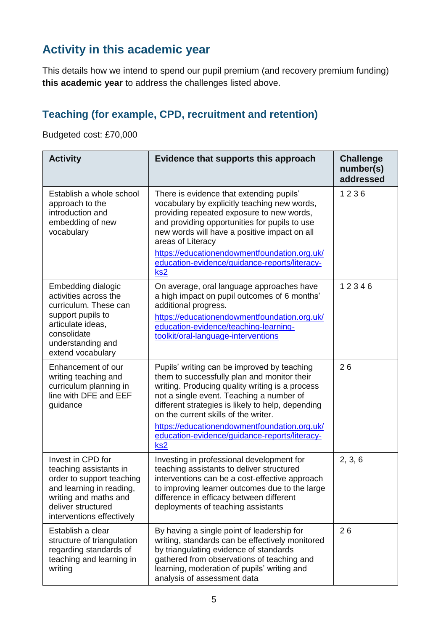## **Activity in this academic year**

This details how we intend to spend our pupil premium (and recovery premium funding) **this academic year** to address the challenges listed above.

#### **Teaching (for example, CPD, recruitment and retention)**

Budgeted cost: £70,000

| <b>Activity</b>                                                                                                                                                                  | Evidence that supports this approach                                                                                                                                                                                                                                                                                                                                                                       | <b>Challenge</b><br>number(s)<br>addressed |
|----------------------------------------------------------------------------------------------------------------------------------------------------------------------------------|------------------------------------------------------------------------------------------------------------------------------------------------------------------------------------------------------------------------------------------------------------------------------------------------------------------------------------------------------------------------------------------------------------|--------------------------------------------|
| Establish a whole school<br>approach to the<br>introduction and<br>embedding of new<br>vocabulary                                                                                | There is evidence that extending pupils'<br>vocabulary by explicitly teaching new words,<br>providing repeated exposure to new words,<br>and providing opportunities for pupils to use<br>new words will have a positive impact on all<br>areas of Literacy<br>https://educationendowmentfoundation.org.uk/<br>education-evidence/guidance-reports/literacy-<br>ks <sub>2</sub>                            | 1236                                       |
| Embedding dialogic<br>activities across the<br>curriculum. These can<br>support pupils to<br>articulate ideas,<br>consolidate<br>understanding and<br>extend vocabulary          | On average, oral language approaches have<br>a high impact on pupil outcomes of 6 months'<br>additional progress.<br>https://educationendowmentfoundation.org.uk/<br>education-evidence/teaching-learning-<br>toolkit/oral-language-interventions                                                                                                                                                          | 12346                                      |
| Enhancement of our<br>writing teaching and<br>curriculum planning in<br>line with DFE and EEF<br>guidance                                                                        | Pupils' writing can be improved by teaching<br>them to successfully plan and monitor their<br>writing. Producing quality writing is a process<br>not a single event. Teaching a number of<br>different strategies is likely to help, depending<br>on the current skills of the writer.<br>https://educationendowmentfoundation.org.uk/<br>education-evidence/guidance-reports/literacy-<br>ks <sub>2</sub> | 26                                         |
| Invest in CPD for<br>teaching assistants in<br>order to support teaching<br>and learning in reading,<br>writing and maths and<br>deliver structured<br>interventions effectively | Investing in professional development for<br>teaching assistants to deliver structured<br>interventions can be a cost-effective approach<br>to improving learner outcomes due to the large<br>difference in efficacy between different<br>deployments of teaching assistants                                                                                                                               | 2, 3, 6                                    |
| Establish a clear<br>structure of triangulation<br>regarding standards of<br>teaching and learning in<br>writing                                                                 | By having a single point of leadership for<br>writing, standards can be effectively monitored<br>by triangulating evidence of standards<br>gathered from observations of teaching and<br>learning, moderation of pupils' writing and<br>analysis of assessment data                                                                                                                                        | 26                                         |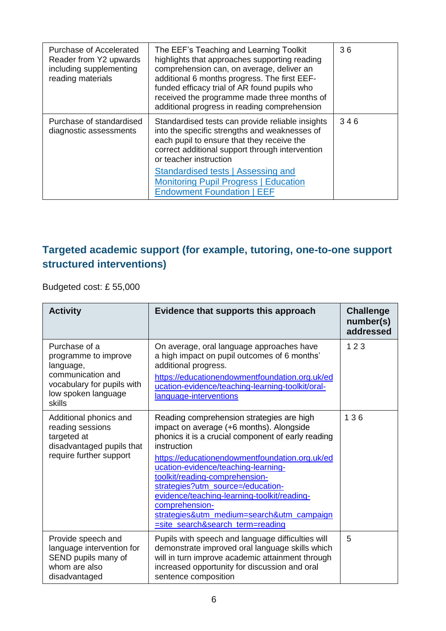| Purchase of Accelerated<br>Reader from Y2 upwards<br>including supplementing<br>reading materials | The EEF's Teaching and Learning Toolkit<br>highlights that approaches supporting reading<br>comprehension can, on average, deliver an<br>additional 6 months progress. The first EEF-<br>funded efficacy trial of AR found pupils who<br>received the programme made three months of<br>additional progress in reading comprehension | 36  |
|---------------------------------------------------------------------------------------------------|--------------------------------------------------------------------------------------------------------------------------------------------------------------------------------------------------------------------------------------------------------------------------------------------------------------------------------------|-----|
| Purchase of standardised<br>diagnostic assessments                                                | Standardised tests can provide reliable insights<br>into the specific strengths and weaknesses of<br>each pupil to ensure that they receive the<br>correct additional support through intervention<br>or teacher instruction<br>Standardised tests   Assessing and                                                                   | 346 |
|                                                                                                   | <b>Monitoring Pupil Progress   Education</b><br><b>Endowment Foundation   EEF</b>                                                                                                                                                                                                                                                    |     |

#### **Targeted academic support (for example, tutoring, one-to-one support structured interventions)**

Budgeted cost: £ 55,000

| <b>Activity</b>                                                                                                                        | Evidence that supports this approach                                                                                                                                                                                                                                                                                                                                                                                                                                         | <b>Challenge</b><br>number(s)<br>addressed |
|----------------------------------------------------------------------------------------------------------------------------------------|------------------------------------------------------------------------------------------------------------------------------------------------------------------------------------------------------------------------------------------------------------------------------------------------------------------------------------------------------------------------------------------------------------------------------------------------------------------------------|--------------------------------------------|
| Purchase of a<br>programme to improve<br>language,<br>communication and<br>vocabulary for pupils with<br>low spoken language<br>skills | On average, oral language approaches have<br>a high impact on pupil outcomes of 6 months'<br>additional progress.<br>https://educationendowmentfoundation.org.uk/ed<br>ucation-evidence/teaching-learning-toolkit/oral-<br>language-interventions                                                                                                                                                                                                                            | 123                                        |
| Additional phonics and<br>reading sessions<br>targeted at<br>disadvantaged pupils that<br>require further support                      | Reading comprehension strategies are high<br>impact on average (+6 months). Alongside<br>phonics it is a crucial component of early reading<br>instruction<br>https://educationendowmentfoundation.org.uk/ed<br>ucation-evidence/teaching-learning-<br>toolkit/reading-comprehension-<br>strategies?utm_source=/education-<br>evidence/teaching-learning-toolkit/reading-<br>comprehension-<br>strategies&utm_medium=search&utm_campaign<br>=site_search&search_term=reading | 136                                        |
| Provide speech and<br>language intervention for<br>SEND pupils many of<br>whom are also<br>disadvantaged                               | Pupils with speech and language difficulties will<br>demonstrate improved oral language skills which<br>will in turn improve academic attainment through<br>increased opportunity for discussion and oral<br>sentence composition                                                                                                                                                                                                                                            | 5                                          |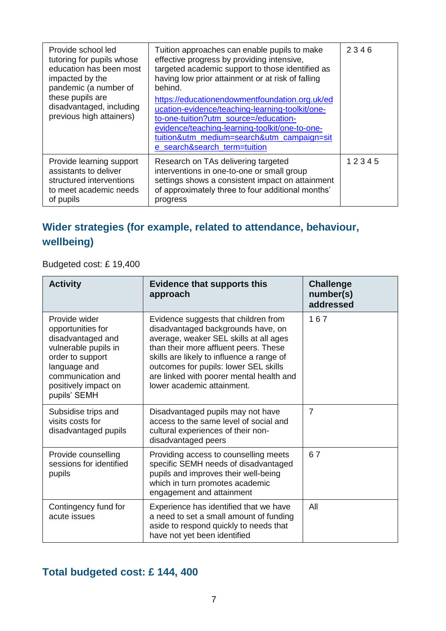| Provide school led<br>tutoring for pupils whose<br>education has been most<br>impacted by the<br>pandemic (a number of<br>these pupils are<br>disadvantaged, including<br>previous high attainers) | Tuition approaches can enable pupils to make<br>effective progress by providing intensive,<br>targeted academic support to those identified as<br>having low prior attainment or at risk of falling<br>behind.<br>https://educationendowmentfoundation.org.uk/ed<br>ucation-evidence/teaching-learning-toolkit/one-<br>to-one-tuition?utm_source=/education-<br>evidence/teaching-learning-toolkit/one-to-one-<br>tuition&utm_medium=search&utm_campaign=sit<br>e_search&search_term=tuition | 2346  |
|----------------------------------------------------------------------------------------------------------------------------------------------------------------------------------------------------|----------------------------------------------------------------------------------------------------------------------------------------------------------------------------------------------------------------------------------------------------------------------------------------------------------------------------------------------------------------------------------------------------------------------------------------------------------------------------------------------|-------|
| Provide learning support<br>assistants to deliver<br>structured interventions<br>to meet academic needs<br>of pupils                                                                               | Research on TAs delivering targeted<br>interventions in one-to-one or small group<br>settings shows a consistent impact on attainment<br>of approximately three to four additional months'<br>progress                                                                                                                                                                                                                                                                                       | 12345 |

#### **Wider strategies (for example, related to attendance, behaviour, wellbeing)**

Budgeted cost: £ 19,400

| <b>Activity</b>                                                                                                                                                                  | <b>Evidence that supports this</b><br>approach                                                                                                                                                                                                                                                                                | <b>Challenge</b><br>number(s)<br>addressed |
|----------------------------------------------------------------------------------------------------------------------------------------------------------------------------------|-------------------------------------------------------------------------------------------------------------------------------------------------------------------------------------------------------------------------------------------------------------------------------------------------------------------------------|--------------------------------------------|
| Provide wider<br>opportunities for<br>disadvantaged and<br>vulnerable pupils in<br>order to support<br>language and<br>communication and<br>positively impact on<br>pupils' SEMH | Evidence suggests that children from<br>disadvantaged backgrounds have, on<br>average, weaker SEL skills at all ages<br>than their more affluent peers. These<br>skills are likely to influence a range of<br>outcomes for pupils: lower SEL skills<br>are linked with poorer mental health and<br>lower academic attainment. | 167                                        |
| Subsidise trips and<br>visits costs for<br>disadvantaged pupils                                                                                                                  | Disadvantaged pupils may not have<br>access to the same level of social and<br>cultural experiences of their non-<br>disadvantaged peers                                                                                                                                                                                      | $\overline{7}$                             |
| Provide counselling<br>sessions for identified<br>pupils                                                                                                                         | Providing access to counselling meets<br>specific SEMH needs of disadvantaged<br>pupils and improves their well-being<br>which in turn promotes academic<br>engagement and attainment                                                                                                                                         | 67                                         |
| Contingency fund for<br>acute issues                                                                                                                                             | Experience has identified that we have<br>a need to set a small amount of funding<br>aside to respond quickly to needs that<br>have not yet been identified                                                                                                                                                                   | All                                        |

## **Total budgeted cost: £ 144, 400**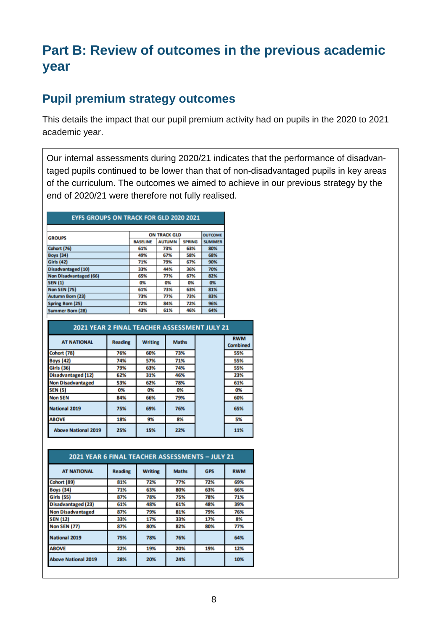# **Part B: Review of outcomes in the previous academic year**

#### **Pupil premium strategy outcomes**

This details the impact that our pupil premium activity had on pupils in the 2020 to 2021 academic year.

Our internal assessments during 2020/21 indicates that the performance of disadvantaged pupils continued to be lower than that of non-disadvantaged pupils in key areas of the curriculum. The outcomes we aimed to achieve in our previous strategy by the end of 2020/21 were therefore not fully realised.

| <b>EYFS GROUPS ON TRACK FOR GLD 2020 2021</b> |                 |                     |               |                |  |
|-----------------------------------------------|-----------------|---------------------|---------------|----------------|--|
|                                               |                 |                     |               |                |  |
| <b>GROUPS</b>                                 |                 | <b>ON TRACK GLD</b> |               | <b>OUTCOME</b> |  |
|                                               | <b>BASELINE</b> | <b>AUTUMN</b>       | <b>SPRING</b> | <b>SUMMER</b>  |  |
| Cohort (76)                                   | 61%             | 73%                 | 63%           | 80%            |  |
| <b>Boys (34)</b>                              | 49%             | 67%                 | 58%           | 68%            |  |
| <b>Girls (42)</b>                             | 71%             | 79%                 | 67%           | 90%            |  |
| <b>Disadvantaged (10)</b>                     | 33%             | 44%                 | 36%           | 70%            |  |
| <b>Non Disadvantaged (66)</b>                 | 65%             | 77%                 | 67%           | 82%            |  |
| <b>SEN (1)</b>                                | 0%              | 0%                  | 0%            | 0%             |  |
| <b>Non SEN (75)</b>                           | 61%             | 73%                 | 63%           | 81%            |  |
| <b>Autumn Born (23)</b>                       | 73%             | 77%                 | 73%           | 83%            |  |
| <b>Spring Born (25)</b>                       | 72%             | 84%                 | 72%           | 96%            |  |
| <b>Summer Born (28)</b>                       | 43%             | 61%                 | 46%           | 64%            |  |

| <b>2021 YEAR 2 FINAL TEACHER ASSESSMENT JULY 21</b> |                |                |              |  |                               |
|-----------------------------------------------------|----------------|----------------|--------------|--|-------------------------------|
| <b>AT NATIONAL</b>                                  | <b>Reading</b> | <b>Writing</b> | <b>Maths</b> |  | <b>RWM</b><br><b>Combined</b> |
| Cohort (78)                                         | 76%            | 60%            | 73%          |  | 55%                           |
| <b>Boys</b> (42)                                    | 74%            | 57%            | 71%          |  | 55%                           |
| <b>Girls (36)</b>                                   | 79%            | 63%            | 74%          |  | 55%                           |
| <b>Disadvantaged (12)</b>                           | 62%            | 31%            | 46%          |  | 23%                           |
| <b>Non Disadvantaged</b>                            | 53%            | 62%            | 78%          |  | 61%                           |
| <b>SEN (5)</b>                                      | 0%             | 0%             | 0%           |  | 0%                            |
| <b>Non SEN</b>                                      | 84%            | 66%            | 79%          |  | 60%                           |
| <b>National 2019</b>                                | 75%            | 69%            | 76%          |  | 65%                           |
| <b>ABOVE</b>                                        | 18%            | 9%             | 8%           |  | 5%                            |
| <b>Above National 2019</b>                          | 25%            | 15%            | 22%          |  | 11%                           |

| 2021 YEAR 6 FINAL TEACHER ASSESSMENTS - JULY 21 |                |                |              |            |            |
|-------------------------------------------------|----------------|----------------|--------------|------------|------------|
| <b>AT NATIONAL</b>                              | <b>Reading</b> | <b>Writing</b> | <b>Maths</b> | <b>GPS</b> | <b>RWM</b> |
| Cohort (89)                                     | 81%            | 72%            | 77%          | 72%        | 69%        |
| <b>Boys</b> (34)                                | 71%            | 63%            | 80%          | 63%        | 66%        |
| <b>Girls (55)</b>                               | 87%            | 78%            | 75%          | 78%        | 71%        |
| <b>Disadvantaged (23)</b>                       | 61%            | 48%            | 61%          | 48%        | 39%        |
| <b>Non Disadvantaged</b>                        | 87%            | 79%            | 81%          | 79%        | 76%        |
| <b>SEN (12)</b>                                 | 33%            | 17%            | 33%          | 17%        | 8%         |
| <b>Non SEN (77)</b>                             | 87%            | 80%            | 82%          | 80%        | 77%        |
| <b>National 2019</b>                            | 75%            | 78%            | 76%          |            | 64%        |
| <b>ABOVE</b>                                    | 22%            | 19%            | 20%          | 19%        | 12%        |
| <b>Above National 2019</b>                      | 28%            | 20%            | 24%          |            | 10%        |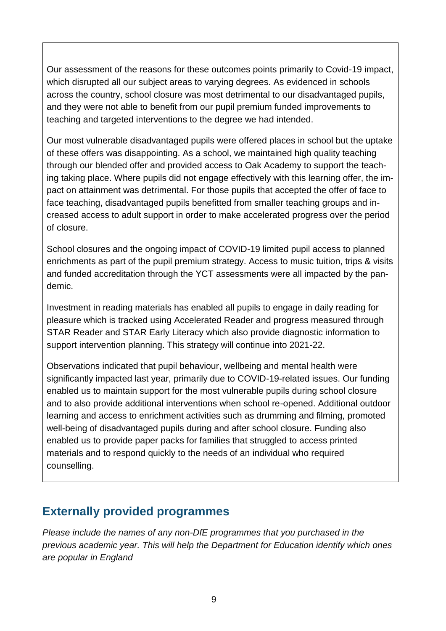Our assessment of the reasons for these outcomes points primarily to Covid-19 impact, which disrupted all our subject areas to varying degrees. As evidenced in schools across the country, school closure was most detrimental to our disadvantaged pupils, and they were not able to benefit from our pupil premium funded improvements to teaching and targeted interventions to the degree we had intended.

Our most vulnerable disadvantaged pupils were offered places in school but the uptake of these offers was disappointing. As a school, we maintained high quality teaching through our blended offer and provided access to Oak Academy to support the teaching taking place. Where pupils did not engage effectively with this learning offer, the impact on attainment was detrimental. For those pupils that accepted the offer of face to face teaching, disadvantaged pupils benefitted from smaller teaching groups and increased access to adult support in order to make accelerated progress over the period of closure.

School closures and the ongoing impact of COVID-19 limited pupil access to planned enrichments as part of the pupil premium strategy. Access to music tuition, trips & visits and funded accreditation through the YCT assessments were all impacted by the pandemic.

Investment in reading materials has enabled all pupils to engage in daily reading for pleasure which is tracked using Accelerated Reader and progress measured through STAR Reader and STAR Early Literacy which also provide diagnostic information to support intervention planning. This strategy will continue into 2021-22.

Observations indicated that pupil behaviour, wellbeing and mental health were significantly impacted last year, primarily due to COVID-19-related issues. Our funding enabled us to maintain support for the most vulnerable pupils during school closure and to also provide additional interventions when school re-opened. Additional outdoor learning and access to enrichment activities such as drumming and filming, promoted well-being of disadvantaged pupils during and after school closure. Funding also enabled us to provide paper packs for families that struggled to access printed materials and to respond quickly to the needs of an individual who required counselling.

#### **Externally provided programmes**

*Please include the names of any non-DfE programmes that you purchased in the previous academic year. This will help the Department for Education identify which ones are popular in England*